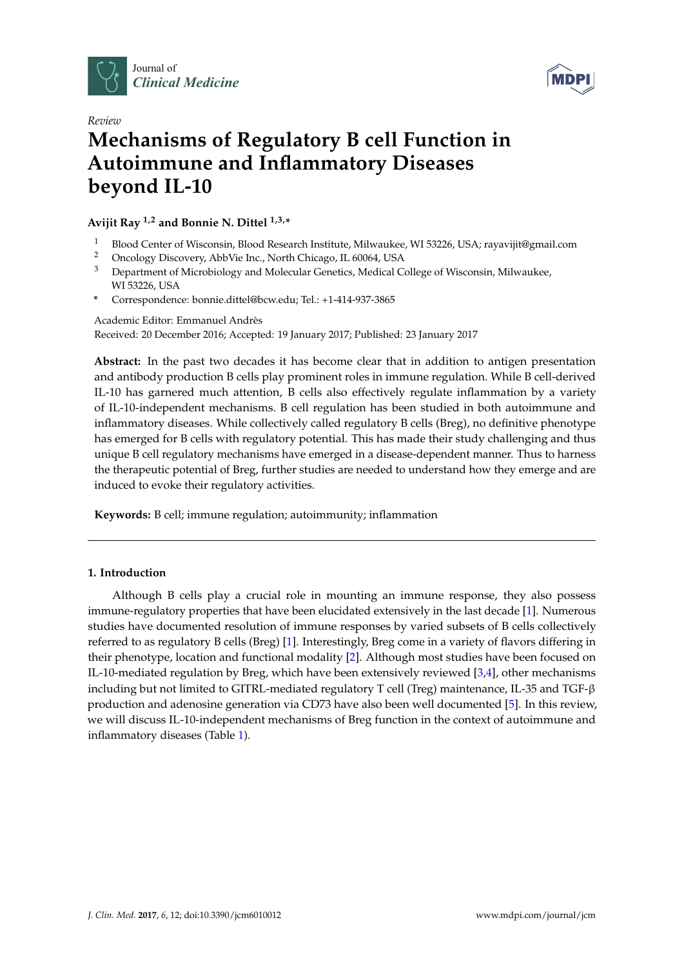



# *Review* **Mechanisms of Regulatory B cell Function in Autoimmune and Inflammatory Diseases beyond IL-10**

**Avijit Ray 1,2 and Bonnie N. Dittel 1,3,\***

- <sup>1</sup> Blood Center of Wisconsin, Blood Research Institute, Milwaukee, WI 53226, USA; rayavijit@gmail.com<br><sup>2</sup> Opealogy Discovery, AbbVia Ips. North Chicago, II, 60064, USA
- 2 Oncology Discovery, AbbVie Inc., North Chicago, IL 60064, USA<br>3 Department of Microbiology and Molocular Constice, Modical C
- <sup>3</sup> Department of Microbiology and Molecular Genetics, Medical College of Wisconsin, Milwaukee, WI 53226, USA
- **\*** Correspondence: bonnie.dittel@bcw.edu; Tel.: +1-414-937-3865

Academic Editor: Emmanuel Andrès Received: 20 December 2016; Accepted: 19 January 2017; Published: 23 January 2017

**Abstract:** In the past two decades it has become clear that in addition to antigen presentation and antibody production B cells play prominent roles in immune regulation. While B cell-derived IL-10 has garnered much attention, B cells also effectively regulate inflammation by a variety of IL-10-independent mechanisms. B cell regulation has been studied in both autoimmune and inflammatory diseases. While collectively called regulatory B cells (Breg), no definitive phenotype has emerged for B cells with regulatory potential. This has made their study challenging and thus unique B cell regulatory mechanisms have emerged in a disease-dependent manner. Thus to harness the therapeutic potential of Breg, further studies are needed to understand how they emerge and are induced to evoke their regulatory activities.

**Keywords:** B cell; immune regulation; autoimmunity; inflammation

## **1. Introduction**

Although B cells play a crucial role in mounting an immune response, they also possess immune-regulatory properties that have been elucidated extensively in the last decade [\[1\]](#page-4-0). Numerous studies have documented resolution of immune responses by varied subsets of B cells collectively referred to as regulatory B cells (Breg) [\[1\]](#page-4-0). Interestingly, Breg come in a variety of flavors differing in their phenotype, location and functional modality [\[2\]](#page-4-1). Although most studies have been focused on IL-10-mediated regulation by Breg, which have been extensively reviewed [\[3,](#page-4-2)[4\]](#page-4-3), other mechanisms including but not limited to GITRL-mediated regulatory T cell (Treg) maintenance, IL-35 and TGF-β production and adenosine generation via CD73 have also been well documented [\[5\]](#page-4-4). In this review, we will discuss IL-10-independent mechanisms of Breg function in the context of autoimmune and inflammatory diseases (Table [1\)](#page-1-0).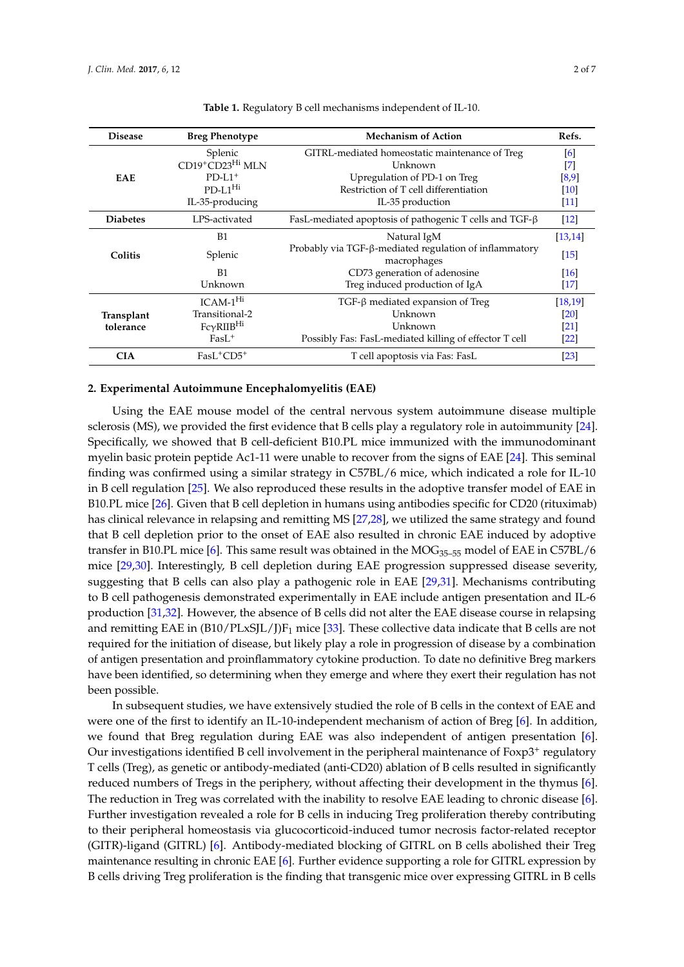<span id="page-1-0"></span>

| <b>Disease</b>          | <b>Breg Phenotype</b> | <b>Mechanism of Action</b>                                            | Refs.             |
|-------------------------|-----------------------|-----------------------------------------------------------------------|-------------------|
| <b>EAE</b>              | Splenic               | GITRL-mediated homeostatic maintenance of Treg                        | [6]               |
|                         | CD19+CD23Hi MLN       | Unknown                                                               | $\left[ 7\right]$ |
|                         | $PD-I.1+$             | Upregulation of PD-1 on Treg                                          | [8,9]             |
|                         | $PD-L1Hi$             | Restriction of T cell differentiation                                 | [10]              |
|                         | IL-35-producing       | IL-35 production                                                      | $[11]$            |
| <b>Diabetes</b>         | LPS-activated         | FasL-mediated apoptosis of pathogenic T cells and TGF- $\beta$        | $[12]$            |
| Colitis                 | B1                    | Natural IgM                                                           | [13, 14]          |
|                         | Splenic               | Probably via TGF-β-mediated regulation of inflammatory<br>macrophages | $[15]$            |
|                         | <b>B1</b>             | CD73 generation of adenosine                                          | [16]              |
|                         | Unknown               | Treg induced production of IgA                                        | $[17]$            |
| Transplant<br>tolerance | $ICAM-1Hi$            | $TGF-\beta$ mediated expansion of Treg                                | [18, 19]          |
|                         | Transitional-2        | Unknown                                                               | [20]              |
|                         | $Fc\gamma R IIBHi$    | Unknown                                                               | [21]              |
|                         | $Fast+$               | Possibly Fas: FasL-mediated killing of effector T cell                | [22]              |
| <b>CIA</b>              | $Fast+CD5+$           | T cell apoptosis via Fas: FasL                                        | [23]              |

**Table 1.** Regulatory B cell mechanisms independent of IL-10.

#### **2. Experimental Autoimmune Encephalomyelitis (EAE)**

Using the EAE mouse model of the central nervous system autoimmune disease multiple sclerosis (MS), we provided the first evidence that B cells play a regulatory role in autoimmunity [\[24\]](#page-5-5). Specifically, we showed that B cell-deficient B10.PL mice immunized with the immunodominant myelin basic protein peptide Ac1-11 were unable to recover from the signs of EAE [\[24\]](#page-5-5). This seminal finding was confirmed using a similar strategy in C57BL/6 mice, which indicated a role for IL-10 in B cell regulation [\[25\]](#page-5-6). We also reproduced these results in the adoptive transfer model of EAE in B10.PL mice [\[26\]](#page-5-7). Given that B cell depletion in humans using antibodies specific for CD20 (rituximab) has clinical relevance in relapsing and remitting MS [\[27,](#page-5-8)[28\]](#page-5-9), we utilized the same strategy and found that B cell depletion prior to the onset of EAE also resulted in chronic EAE induced by adoptive transfer in B10.PL mice [\[6\]](#page-4-5). This same result was obtained in the MOG<sub>35-55</sub> model of EAE in C57BL/6 mice [\[29,](#page-5-10)[30\]](#page-5-11). Interestingly, B cell depletion during EAE progression suppressed disease severity, suggesting that B cells can also play a pathogenic role in EAE [\[29,](#page-5-10)[31\]](#page-5-12). Mechanisms contributing to B cell pathogenesis demonstrated experimentally in EAE include antigen presentation and IL-6 production [\[31](#page-5-12)[,32\]](#page-5-13). However, the absence of B cells did not alter the EAE disease course in relapsing and remitting EAE in  $(B10/PLxSL/I)F_1$  mice [\[33\]](#page-5-14). These collective data indicate that B cells are not required for the initiation of disease, but likely play a role in progression of disease by a combination of antigen presentation and proinflammatory cytokine production. To date no definitive Breg markers have been identified, so determining when they emerge and where they exert their regulation has not been possible.

In subsequent studies, we have extensively studied the role of B cells in the context of EAE and were one of the first to identify an IL-10-independent mechanism of action of Breg [\[6\]](#page-4-5). In addition, we found that Breg regulation during EAE was also independent of antigen presentation [\[6\]](#page-4-5). Our investigations identified B cell involvement in the peripheral maintenance of Foxp3<sup>+</sup> regulatory T cells (Treg), as genetic or antibody-mediated (anti-CD20) ablation of B cells resulted in significantly reduced numbers of Tregs in the periphery, without affecting their development in the thymus [\[6\]](#page-4-5). The reduction in Treg was correlated with the inability to resolve EAE leading to chronic disease [\[6\]](#page-4-5). Further investigation revealed a role for B cells in inducing Treg proliferation thereby contributing to their peripheral homeostasis via glucocorticoid-induced tumor necrosis factor-related receptor (GITR)-ligand (GITRL) [\[6\]](#page-4-5). Antibody-mediated blocking of GITRL on B cells abolished their Treg maintenance resulting in chronic EAE [\[6\]](#page-4-5). Further evidence supporting a role for GITRL expression by B cells driving Treg proliferation is the finding that transgenic mice over expressing GITRL in B cells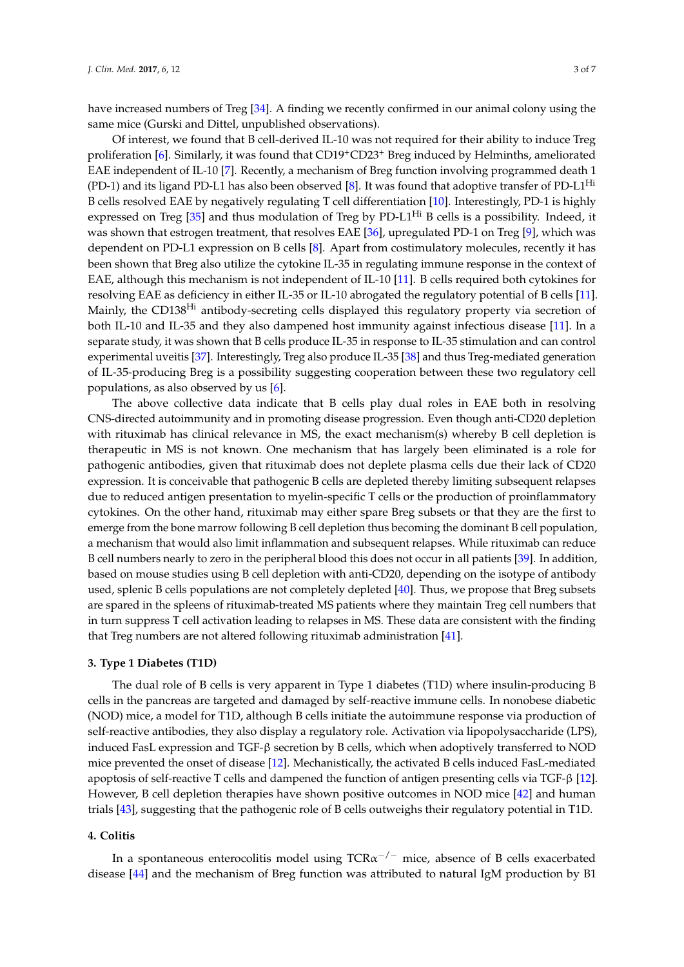have increased numbers of Treg [\[34\]](#page-5-15). A finding we recently confirmed in our animal colony using the same mice (Gurski and Dittel, unpublished observations).

Of interest, we found that B cell-derived IL-10 was not required for their ability to induce Treg proliferation [\[6\]](#page-4-5). Similarly, it was found that CD19+CD23<sup>+</sup> Breg induced by Helminths, ameliorated EAE independent of IL-10 [\[7\]](#page-4-6). Recently, a mechanism of Breg function involving programmed death 1  $(PD-1)$  and its ligand PD-L1 has also been observed [\[8\]](#page-4-7). It was found that adoptive transfer of PD-L1<sup>Hi</sup> B cells resolved EAE by negatively regulating T cell differentiation [\[10\]](#page-4-9). Interestingly, PD-1 is highly expressed on Treg [\[35\]](#page-5-16) and thus modulation of Treg by PD-L1<sup>Hi</sup> B cells is a possibility. Indeed, it was shown that estrogen treatment, that resolves EAE [\[36\]](#page-5-17), upregulated PD-1 on Treg [\[9\]](#page-4-8), which was dependent on PD-L1 expression on B cells [\[8\]](#page-4-7). Apart from costimulatory molecules, recently it has been shown that Breg also utilize the cytokine IL-35 in regulating immune response in the context of EAE, although this mechanism is not independent of IL-10 [\[11\]](#page-4-10). B cells required both cytokines for resolving EAE as deficiency in either IL-35 or IL-10 abrogated the regulatory potential of B cells [\[11\]](#page-4-10). Mainly, the CD138<sup>Hi</sup> antibody-secreting cells displayed this regulatory property via secretion of both IL-10 and IL-35 and they also dampened host immunity against infectious disease [\[11\]](#page-4-10). In a separate study, it was shown that B cells produce IL-35 in response to IL-35 stimulation and can control experimental uveitis [\[37\]](#page-6-0). Interestingly, Treg also produce IL-35 [\[38\]](#page-6-1) and thus Treg-mediated generation of IL-35-producing Breg is a possibility suggesting cooperation between these two regulatory cell populations, as also observed by us [\[6\]](#page-4-5).

The above collective data indicate that B cells play dual roles in EAE both in resolving CNS-directed autoimmunity and in promoting disease progression. Even though anti-CD20 depletion with rituximab has clinical relevance in MS, the exact mechanism(s) whereby B cell depletion is therapeutic in MS is not known. One mechanism that has largely been eliminated is a role for pathogenic antibodies, given that rituximab does not deplete plasma cells due their lack of CD20 expression. It is conceivable that pathogenic B cells are depleted thereby limiting subsequent relapses due to reduced antigen presentation to myelin-specific T cells or the production of proinflammatory cytokines. On the other hand, rituximab may either spare Breg subsets or that they are the first to emerge from the bone marrow following B cell depletion thus becoming the dominant B cell population, a mechanism that would also limit inflammation and subsequent relapses. While rituximab can reduce B cell numbers nearly to zero in the peripheral blood this does not occur in all patients [\[39\]](#page-6-2). In addition, based on mouse studies using B cell depletion with anti-CD20, depending on the isotype of antibody used, splenic B cells populations are not completely depleted [\[40\]](#page-6-3). Thus, we propose that Breg subsets are spared in the spleens of rituximab-treated MS patients where they maintain Treg cell numbers that in turn suppress T cell activation leading to relapses in MS. These data are consistent with the finding that Treg numbers are not altered following rituximab administration [\[41\]](#page-6-4).

#### **3. Type 1 Diabetes (T1D)**

The dual role of B cells is very apparent in Type 1 diabetes (T1D) where insulin-producing B cells in the pancreas are targeted and damaged by self-reactive immune cells. In nonobese diabetic (NOD) mice, a model for T1D, although B cells initiate the autoimmune response via production of self-reactive antibodies, they also display a regulatory role. Activation via lipopolysaccharide (LPS), induced FasL expression and TGF-β secretion by B cells, which when adoptively transferred to NOD mice prevented the onset of disease [\[12\]](#page-4-11). Mechanistically, the activated B cells induced FasL-mediated apoptosis of self-reactive T cells and dampened the function of antigen presenting cells via TGF-β [\[12\]](#page-4-11). However, B cell depletion therapies have shown positive outcomes in NOD mice [\[42\]](#page-6-5) and human trials [\[43\]](#page-6-6), suggesting that the pathogenic role of B cells outweighs their regulatory potential in T1D.

## **4. Colitis**

In a spontaneous enterocolitis model using TCR $\alpha^{-/-}$  mice, absence of B cells exacerbated disease [\[44\]](#page-6-7) and the mechanism of Breg function was attributed to natural IgM production by B1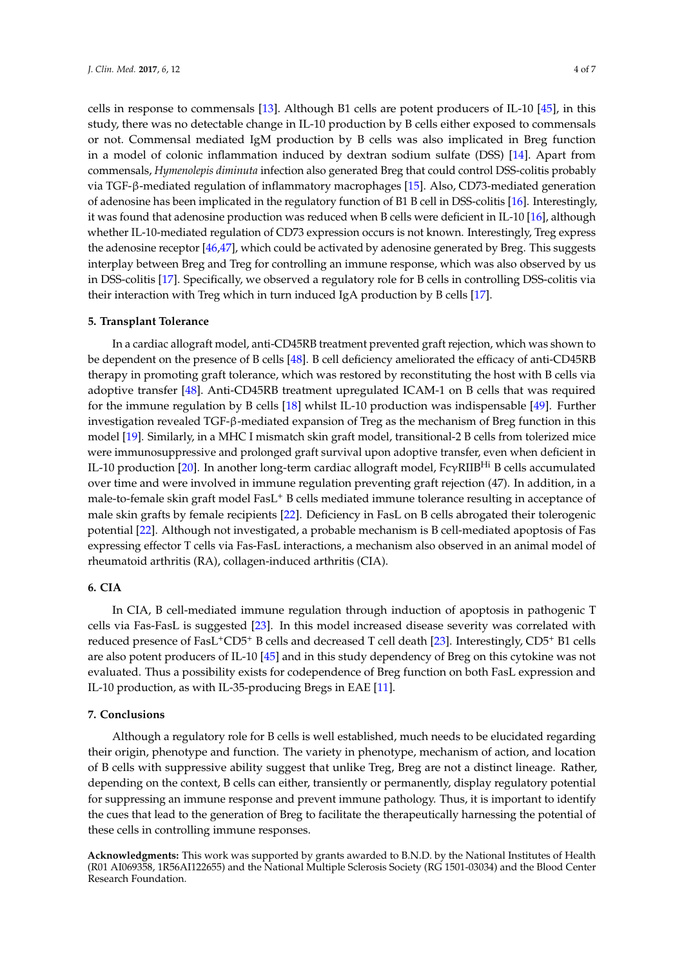cells in response to commensals [\[13\]](#page-4-12). Although B1 cells are potent producers of IL-10 [\[45\]](#page-6-8), in this study, there was no detectable change in IL-10 production by B cells either exposed to commensals or not. Commensal mediated IgM production by B cells was also implicated in Breg function in a model of colonic inflammation induced by dextran sodium sulfate (DSS) [\[14\]](#page-4-13). Apart from commensals, *Hymenolepis diminuta* infection also generated Breg that could control DSS-colitis probably via TGF-β-mediated regulation of inflammatory macrophages [\[15\]](#page-4-14). Also, CD73-mediated generation of adenosine has been implicated in the regulatory function of B1 B cell in DSS-colitis [\[16\]](#page-4-15). Interestingly, it was found that adenosine production was reduced when B cells were deficient in IL-10 [\[16\]](#page-4-15), although whether IL-10-mediated regulation of CD73 expression occurs is not known. Interestingly, Treg express the adenosine receptor [\[46,](#page-6-9)[47\]](#page-6-10), which could be activated by adenosine generated by Breg. This suggests interplay between Breg and Treg for controlling an immune response, which was also observed by us in DSS-colitis [\[17\]](#page-4-16). Specifically, we observed a regulatory role for B cells in controlling DSS-colitis via their interaction with Treg which in turn induced IgA production by B cells [\[17\]](#page-4-16).

### **5. Transplant Tolerance**

In a cardiac allograft model, anti-CD45RB treatment prevented graft rejection, which was shown to be dependent on the presence of B cells [\[48\]](#page-6-11). B cell deficiency ameliorated the efficacy of anti-CD45RB therapy in promoting graft tolerance, which was restored by reconstituting the host with B cells via adoptive transfer [\[48\]](#page-6-11). Anti-CD45RB treatment upregulated ICAM-1 on B cells that was required for the immune regulation by B cells [\[18\]](#page-4-17) whilst IL-10 production was indispensable [\[49\]](#page-6-12). Further investigation revealed TGF-β-mediated expansion of Treg as the mechanism of Breg function in this model [\[19\]](#page-5-0). Similarly, in a MHC I mismatch skin graft model, transitional-2 B cells from tolerized mice were immunosuppressive and prolonged graft survival upon adoptive transfer, even when deficient in IL-10 production [\[20\]](#page-5-1). In another long-term cardiac allograft model, FcγRIIBHi B cells accumulated over time and were involved in immune regulation preventing graft rejection (47). In addition, in a male-to-female skin graft model FasL<sup>+</sup> B cells mediated immune tolerance resulting in acceptance of male skin grafts by female recipients [\[22\]](#page-5-3). Deficiency in FasL on B cells abrogated their tolerogenic potential [\[22\]](#page-5-3). Although not investigated, a probable mechanism is B cell-mediated apoptosis of Fas expressing effector T cells via Fas-FasL interactions, a mechanism also observed in an animal model of rheumatoid arthritis (RA), collagen-induced arthritis (CIA).

## **6. CIA**

In CIA, B cell-mediated immune regulation through induction of apoptosis in pathogenic T cells via Fas-FasL is suggested [\[23\]](#page-5-4). In this model increased disease severity was correlated with reduced presence of FasL+CD5<sup>+</sup> B cells and decreased T cell death [\[23\]](#page-5-4). Interestingly, CD5<sup>+</sup> B1 cells are also potent producers of IL-10 [\[45\]](#page-6-8) and in this study dependency of Breg on this cytokine was not evaluated. Thus a possibility exists for codependence of Breg function on both FasL expression and IL-10 production, as with IL-35-producing Bregs in EAE [\[11\]](#page-4-10).

#### **7. Conclusions**

Although a regulatory role for B cells is well established, much needs to be elucidated regarding their origin, phenotype and function. The variety in phenotype, mechanism of action, and location of B cells with suppressive ability suggest that unlike Treg, Breg are not a distinct lineage. Rather, depending on the context, B cells can either, transiently or permanently, display regulatory potential for suppressing an immune response and prevent immune pathology. Thus, it is important to identify the cues that lead to the generation of Breg to facilitate the therapeutically harnessing the potential of these cells in controlling immune responses.

**Acknowledgments:** This work was supported by grants awarded to B.N.D. by the National Institutes of Health (R01 AI069358, 1R56AI122655) and the National Multiple Sclerosis Society (RG 1501-03034) and the Blood Center Research Foundation.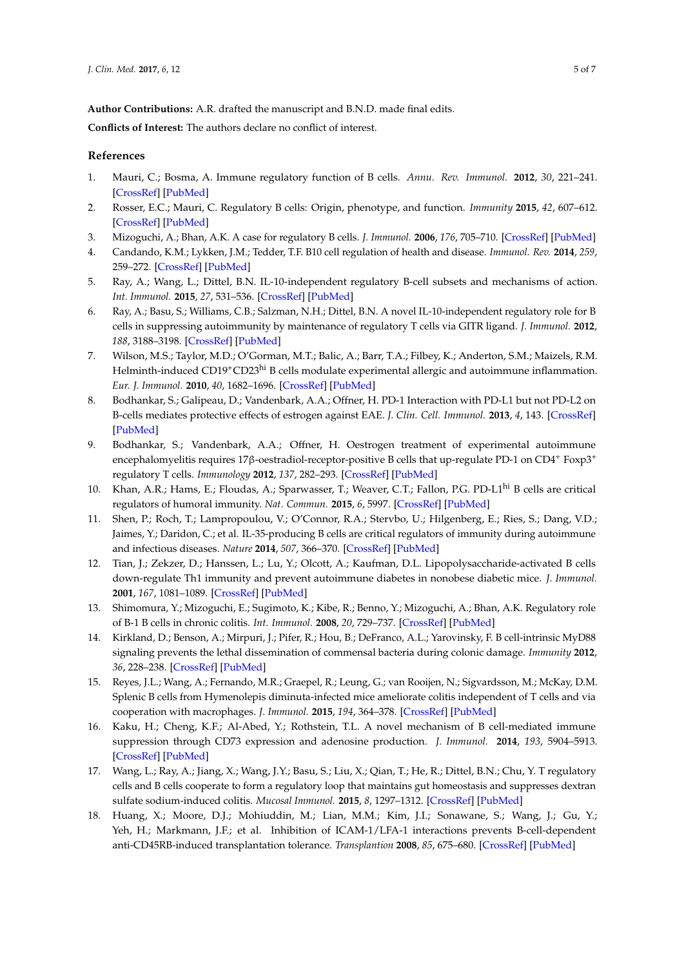**Author Contributions:** A.R. drafted the manuscript and B.N.D. made final edits.

**Conflicts of Interest:** The authors declare no conflict of interest.

## **References**

- <span id="page-4-0"></span>1. Mauri, C.; Bosma, A. Immune regulatory function of B cells. *Annu. Rev. Immunol.* **2012**, *30*, 221–241. [\[CrossRef\]](http://dx.doi.org/10.1146/annurev-immunol-020711-074934) [\[PubMed\]](http://www.ncbi.nlm.nih.gov/pubmed/22224776)
- <span id="page-4-1"></span>2. Rosser, E.C.; Mauri, C. Regulatory B cells: Origin, phenotype, and function. *Immunity* **2015**, *42*, 607–612. [\[CrossRef\]](http://dx.doi.org/10.1016/j.immuni.2015.04.005) [\[PubMed\]](http://www.ncbi.nlm.nih.gov/pubmed/25902480)
- <span id="page-4-2"></span>3. Mizoguchi, A.; Bhan, A.K. A case for regulatory B cells. *J. Immunol.* **2006**, *176*, 705–710. [\[CrossRef\]](http://dx.doi.org/10.4049/jimmunol.176.2.705) [\[PubMed\]](http://www.ncbi.nlm.nih.gov/pubmed/16393950)
- <span id="page-4-3"></span>4. Candando, K.M.; Lykken, J.M.; Tedder, T.F. B10 cell regulation of health and disease. *Immunol. Rev.* **2014**, *259*, 259–272. [\[CrossRef\]](http://dx.doi.org/10.1111/imr.12176) [\[PubMed\]](http://www.ncbi.nlm.nih.gov/pubmed/24712471)
- <span id="page-4-4"></span>5. Ray, A.; Wang, L.; Dittel, B.N. IL-10-independent regulatory B-cell subsets and mechanisms of action. *Int. Immunol.* **2015**, *27*, 531–536. [\[CrossRef\]](http://dx.doi.org/10.1093/intimm/dxv033) [\[PubMed\]](http://www.ncbi.nlm.nih.gov/pubmed/25999596)
- <span id="page-4-5"></span>6. Ray, A.; Basu, S.; Williams, C.B.; Salzman, N.H.; Dittel, B.N. A novel IL-10-independent regulatory role for B cells in suppressing autoimmunity by maintenance of regulatory T cells via GITR ligand. *J. Immunol.* **2012**, *188*, 3188–3198. [\[CrossRef\]](http://dx.doi.org/10.4049/jimmunol.1103354) [\[PubMed\]](http://www.ncbi.nlm.nih.gov/pubmed/22368274)
- <span id="page-4-6"></span>7. Wilson, M.S.; Taylor, M.D.; O'Gorman, M.T.; Balic, A.; Barr, T.A.; Filbey, K.; Anderton, S.M.; Maizels, R.M. Helminth-induced CD19<sup>+</sup>CD23<sup>hi</sup> B cells modulate experimental allergic and autoimmune inflammation. *Eur. J. Immunol.* **2010**, *40*, 1682–1696. [\[CrossRef\]](http://dx.doi.org/10.1002/eji.200939721) [\[PubMed\]](http://www.ncbi.nlm.nih.gov/pubmed/20306466)
- <span id="page-4-7"></span>8. Bodhankar, S.; Galipeau, D.; Vandenbark, A.A.; Offner, H. PD-1 Interaction with PD-L1 but not PD-L2 on B-cells mediates protective effects of estrogen against EAE. *J. Clin. Cell. Immunol.* **2013**, *4*, 143. [\[CrossRef\]](http://dx.doi.org/10.4172/2155-9899.1000143) [\[PubMed\]](http://www.ncbi.nlm.nih.gov/pubmed/24009988)
- <span id="page-4-8"></span>9. Bodhankar, S.; Vandenbark, A.A.; Offner, H. Oestrogen treatment of experimental autoimmune encephalomyelitis requires 17β-oestradiol-receptor-positive B cells that up-regulate PD-1 on CD4<sup>+</sup> Foxp3<sup>+</sup> regulatory T cells. *Immunology* **2012**, *137*, 282–293. [\[CrossRef\]](http://dx.doi.org/10.1111/imm.12013) [\[PubMed\]](http://www.ncbi.nlm.nih.gov/pubmed/23039230)
- <span id="page-4-9"></span>10. Khan, A.R.; Hams, E.; Floudas, A.; Sparwasser, T.; Weaver, C.T.; Fallon, P.G. PD-L1<sup>hi</sup> B cells are critical regulators of humoral immunity. *Nat. Commun.* **2015**, *6*, 5997. [\[CrossRef\]](http://dx.doi.org/10.1038/ncomms6997) [\[PubMed\]](http://www.ncbi.nlm.nih.gov/pubmed/25609381)
- <span id="page-4-10"></span>11. Shen, P.; Roch, T.; Lampropoulou, V.; O'Connor, R.A.; Stervbo, U.; Hilgenberg, E.; Ries, S.; Dang, V.D.; Jaimes, Y.; Daridon, C.; et al. IL-35-producing B cells are critical regulators of immunity during autoimmune and infectious diseases. *Nature* **2014**, *507*, 366–370. [\[CrossRef\]](http://dx.doi.org/10.1038/nature12979) [\[PubMed\]](http://www.ncbi.nlm.nih.gov/pubmed/24572363)
- <span id="page-4-11"></span>12. Tian, J.; Zekzer, D.; Hanssen, L.; Lu, Y.; Olcott, A.; Kaufman, D.L. Lipopolysaccharide-activated B cells down-regulate Th1 immunity and prevent autoimmune diabetes in nonobese diabetic mice. *J. Immunol.* **2001**, *167*, 1081–1089. [\[CrossRef\]](http://dx.doi.org/10.4049/jimmunol.167.2.1081) [\[PubMed\]](http://www.ncbi.nlm.nih.gov/pubmed/11441119)
- <span id="page-4-12"></span>13. Shimomura, Y.; Mizoguchi, E.; Sugimoto, K.; Kibe, R.; Benno, Y.; Mizoguchi, A.; Bhan, A.K. Regulatory role of B-1 B cells in chronic colitis. *Int. Immunol.* **2008**, *20*, 729–737. [\[CrossRef\]](http://dx.doi.org/10.1093/intimm/dxn031) [\[PubMed\]](http://www.ncbi.nlm.nih.gov/pubmed/18375938)
- <span id="page-4-13"></span>14. Kirkland, D.; Benson, A.; Mirpuri, J.; Pifer, R.; Hou, B.; DeFranco, A.L.; Yarovinsky, F. B cell-intrinsic MyD88 signaling prevents the lethal dissemination of commensal bacteria during colonic damage. *Immunity* **2012**, *36*, 228–238. [\[CrossRef\]](http://dx.doi.org/10.1016/j.immuni.2011.11.019) [\[PubMed\]](http://www.ncbi.nlm.nih.gov/pubmed/22306056)
- <span id="page-4-14"></span>15. Reyes, J.L.; Wang, A.; Fernando, M.R.; Graepel, R.; Leung, G.; van Rooijen, N.; Sigvardsson, M.; McKay, D.M. Splenic B cells from Hymenolepis diminuta-infected mice ameliorate colitis independent of T cells and via cooperation with macrophages. *J. Immunol.* **2015**, *194*, 364–378. [\[CrossRef\]](http://dx.doi.org/10.4049/jimmunol.1400738) [\[PubMed\]](http://www.ncbi.nlm.nih.gov/pubmed/25452561)
- <span id="page-4-15"></span>16. Kaku, H.; Cheng, K.F.; Al-Abed, Y.; Rothstein, T.L. A novel mechanism of B cell-mediated immune suppression through CD73 expression and adenosine production. *J. Immunol.* **2014**, *193*, 5904–5913. [\[CrossRef\]](http://dx.doi.org/10.4049/jimmunol.1400336) [\[PubMed\]](http://www.ncbi.nlm.nih.gov/pubmed/25392527)
- <span id="page-4-16"></span>17. Wang, L.; Ray, A.; Jiang, X.; Wang, J.Y.; Basu, S.; Liu, X.; Qian, T.; He, R.; Dittel, B.N.; Chu, Y. T regulatory cells and B cells cooperate to form a regulatory loop that maintains gut homeostasis and suppresses dextran sulfate sodium-induced colitis. *Mucosal Immunol.* **2015**, *8*, 1297–1312. [\[CrossRef\]](http://dx.doi.org/10.1038/mi.2015.20) [\[PubMed\]](http://www.ncbi.nlm.nih.gov/pubmed/25807185)
- <span id="page-4-17"></span>18. Huang, X.; Moore, D.J.; Mohiuddin, M.; Lian, M.M.; Kim, J.I.; Sonawane, S.; Wang, J.; Gu, Y.; Yeh, H.; Markmann, J.F.; et al. Inhibition of ICAM-1/LFA-1 interactions prevents B-cell-dependent anti-CD45RB-induced transplantation tolerance. *Transplantion* **2008**, *85*, 675–680. [\[CrossRef\]](http://dx.doi.org/10.1097/TP.0b013e3181663422) [\[PubMed\]](http://www.ncbi.nlm.nih.gov/pubmed/18337659)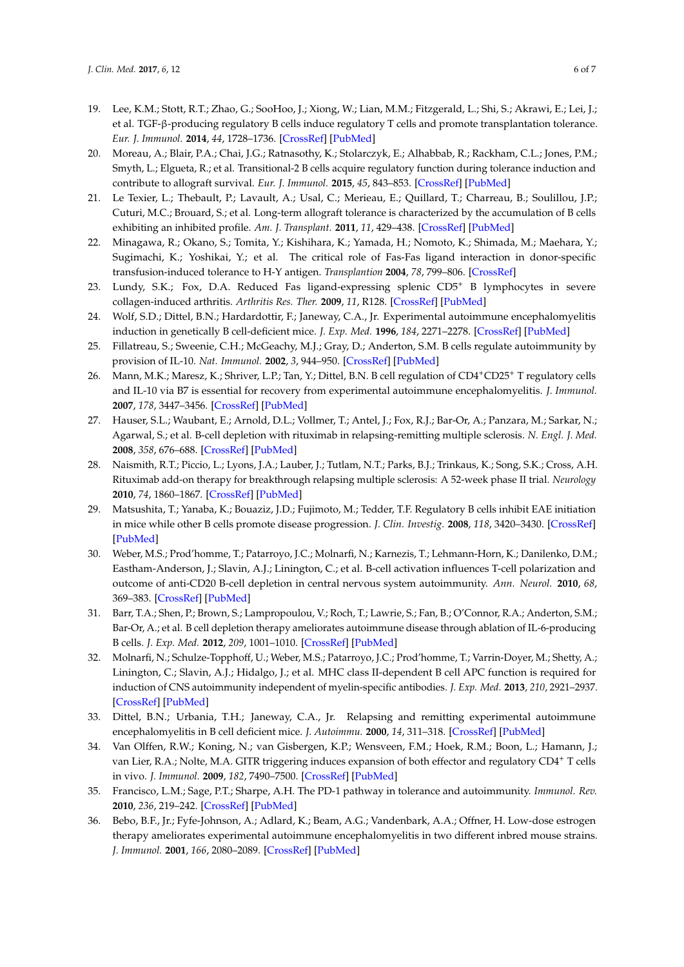- <span id="page-5-0"></span>19. Lee, K.M.; Stott, R.T.; Zhao, G.; SooHoo, J.; Xiong, W.; Lian, M.M.; Fitzgerald, L.; Shi, S.; Akrawi, E.; Lei, J.; et al. TGF-β-producing regulatory B cells induce regulatory T cells and promote transplantation tolerance. *Eur. J. Immunol.* **2014**, *44*, 1728–1736. [\[CrossRef\]](http://dx.doi.org/10.1002/eji.201344062) [\[PubMed\]](http://www.ncbi.nlm.nih.gov/pubmed/24700192)
- <span id="page-5-1"></span>20. Moreau, A.; Blair, P.A.; Chai, J.G.; Ratnasothy, K.; Stolarczyk, E.; Alhabbab, R.; Rackham, C.L.; Jones, P.M.; Smyth, L.; Elgueta, R.; et al. Transitional-2 B cells acquire regulatory function during tolerance induction and contribute to allograft survival. *Eur. J. Immunol.* **2015**, *45*, 843–853. [\[CrossRef\]](http://dx.doi.org/10.1002/eji.201445082) [\[PubMed\]](http://www.ncbi.nlm.nih.gov/pubmed/25408265)
- <span id="page-5-2"></span>21. Le Texier, L.; Thebault, P.; Lavault, A.; Usal, C.; Merieau, E.; Quillard, T.; Charreau, B.; Soulillou, J.P.; Cuturi, M.C.; Brouard, S.; et al. Long-term allograft tolerance is characterized by the accumulation of B cells exhibiting an inhibited profile. *Am. J. Transplant.* **2011**, *11*, 429–438. [\[CrossRef\]](http://dx.doi.org/10.1111/j.1600-6143.2010.03336.x) [\[PubMed\]](http://www.ncbi.nlm.nih.gov/pubmed/21114655)
- <span id="page-5-3"></span>22. Minagawa, R.; Okano, S.; Tomita, Y.; Kishihara, K.; Yamada, H.; Nomoto, K.; Shimada, M.; Maehara, Y.; Sugimachi, K.; Yoshikai, Y.; et al. The critical role of Fas-Fas ligand interaction in donor-specific transfusion-induced tolerance to H-Y antigen. *Transplantion* **2004**, *78*, 799–806. [\[CrossRef\]](http://dx.doi.org/10.1097/01.TP.0000129799.96439.6F)
- <span id="page-5-4"></span>23. Lundy, S.K.; Fox, D.A. Reduced Fas ligand-expressing splenic CD5<sup>+</sup> B lymphocytes in severe collagen-induced arthritis. *Arthritis Res. Ther.* **2009**, *11*, R128. [\[CrossRef\]](http://dx.doi.org/10.1186/ar2795) [\[PubMed\]](http://www.ncbi.nlm.nih.gov/pubmed/19706160)
- <span id="page-5-5"></span>24. Wolf, S.D.; Dittel, B.N.; Hardardottir, F.; Janeway, C.A., Jr. Experimental autoimmune encephalomyelitis induction in genetically B cell-deficient mice. *J. Exp. Med.* **1996**, *184*, 2271–2278. [\[CrossRef\]](http://dx.doi.org/10.1084/jem.184.6.2271) [\[PubMed\]](http://www.ncbi.nlm.nih.gov/pubmed/8976182)
- <span id="page-5-6"></span>25. Fillatreau, S.; Sweenie, C.H.; McGeachy, M.J.; Gray, D.; Anderton, S.M. B cells regulate autoimmunity by provision of IL-10. *Nat. Immunol.* **2002**, *3*, 944–950. [\[CrossRef\]](http://dx.doi.org/10.1038/ni833) [\[PubMed\]](http://www.ncbi.nlm.nih.gov/pubmed/12244307)
- <span id="page-5-7"></span>26. Mann, M.K.; Maresz, K.; Shriver, L.P.; Tan, Y.; Dittel, B.N. B cell regulation of CD4+CD25+ T regulatory cells and IL-10 via B7 is essential for recovery from experimental autoimmune encephalomyelitis. *J. Immunol.* **2007**, *178*, 3447–3456. [\[CrossRef\]](http://dx.doi.org/10.4049/jimmunol.178.6.3447) [\[PubMed\]](http://www.ncbi.nlm.nih.gov/pubmed/17339439)
- <span id="page-5-8"></span>27. Hauser, S.L.; Waubant, E.; Arnold, D.L.; Vollmer, T.; Antel, J.; Fox, R.J.; Bar-Or, A.; Panzara, M.; Sarkar, N.; Agarwal, S.; et al. B-cell depletion with rituximab in relapsing-remitting multiple sclerosis. *N. Engl. J. Med.* **2008**, *358*, 676–688. [\[CrossRef\]](http://dx.doi.org/10.1056/NEJMoa0706383) [\[PubMed\]](http://www.ncbi.nlm.nih.gov/pubmed/18272891)
- <span id="page-5-9"></span>28. Naismith, R.T.; Piccio, L.; Lyons, J.A.; Lauber, J.; Tutlam, N.T.; Parks, B.J.; Trinkaus, K.; Song, S.K.; Cross, A.H. Rituximab add-on therapy for breakthrough relapsing multiple sclerosis: A 52-week phase II trial. *Neurology* **2010**, *74*, 1860–1867. [\[CrossRef\]](http://dx.doi.org/10.1212/WNL.0b013e3181e24373) [\[PubMed\]](http://www.ncbi.nlm.nih.gov/pubmed/20530322)
- <span id="page-5-10"></span>29. Matsushita, T.; Yanaba, K.; Bouaziz, J.D.; Fujimoto, M.; Tedder, T.F. Regulatory B cells inhibit EAE initiation in mice while other B cells promote disease progression. *J. Clin. Investig.* **2008**, *118*, 3420–3430. [\[CrossRef\]](http://dx.doi.org/10.1172/JCI36030) [\[PubMed\]](http://www.ncbi.nlm.nih.gov/pubmed/18802481)
- <span id="page-5-11"></span>30. Weber, M.S.; Prod'homme, T.; Patarroyo, J.C.; Molnarfi, N.; Karnezis, T.; Lehmann-Horn, K.; Danilenko, D.M.; Eastham-Anderson, J.; Slavin, A.J.; Linington, C.; et al. B-cell activation influences T-cell polarization and outcome of anti-CD20 B-cell depletion in central nervous system autoimmunity. *Ann. Neurol.* **2010**, *68*, 369–383. [\[CrossRef\]](http://dx.doi.org/10.1002/ana.22081) [\[PubMed\]](http://www.ncbi.nlm.nih.gov/pubmed/20641064)
- <span id="page-5-12"></span>31. Barr, T.A.; Shen, P.; Brown, S.; Lampropoulou, V.; Roch, T.; Lawrie, S.; Fan, B.; O'Connor, R.A.; Anderton, S.M.; Bar-Or, A.; et al. B cell depletion therapy ameliorates autoimmune disease through ablation of IL-6-producing B cells. *J. Exp. Med.* **2012**, *209*, 1001–1010. [\[CrossRef\]](http://dx.doi.org/10.1084/jem.20111675) [\[PubMed\]](http://www.ncbi.nlm.nih.gov/pubmed/22547654)
- <span id="page-5-13"></span>32. Molnarfi, N.; Schulze-Topphoff, U.; Weber, M.S.; Patarroyo, J.C.; Prod'homme, T.; Varrin-Doyer, M.; Shetty, A.; Linington, C.; Slavin, A.J.; Hidalgo, J.; et al. MHC class II-dependent B cell APC function is required for induction of CNS autoimmunity independent of myelin-specific antibodies. *J. Exp. Med.* **2013**, *210*, 2921–2937. [\[CrossRef\]](http://dx.doi.org/10.1084/jem.20130699) [\[PubMed\]](http://www.ncbi.nlm.nih.gov/pubmed/24323356)
- <span id="page-5-14"></span>33. Dittel, B.N.; Urbania, T.H.; Janeway, C.A., Jr. Relapsing and remitting experimental autoimmune encephalomyelitis in B cell deficient mice. *J. Autoimmu.* **2000**, *14*, 311–318. [\[CrossRef\]](http://dx.doi.org/10.1006/jaut.2000.0371) [\[PubMed\]](http://www.ncbi.nlm.nih.gov/pubmed/10882057)
- <span id="page-5-15"></span>34. Van Olffen, R.W.; Koning, N.; van Gisbergen, K.P.; Wensveen, F.M.; Hoek, R.M.; Boon, L.; Hamann, J.; van Lier, R.A.; Nolte, M.A. GITR triggering induces expansion of both effector and regulatory CD4<sup>+</sup> T cells in vivo. *J. Immunol.* **2009**, *182*, 7490–7500. [\[CrossRef\]](http://dx.doi.org/10.4049/jimmunol.0802751) [\[PubMed\]](http://www.ncbi.nlm.nih.gov/pubmed/19494272)
- <span id="page-5-16"></span>35. Francisco, L.M.; Sage, P.T.; Sharpe, A.H. The PD-1 pathway in tolerance and autoimmunity. *Immunol. Rev.* **2010**, *236*, 219–242. [\[CrossRef\]](http://dx.doi.org/10.1111/j.1600-065X.2010.00923.x) [\[PubMed\]](http://www.ncbi.nlm.nih.gov/pubmed/20636820)
- <span id="page-5-17"></span>36. Bebo, B.F., Jr.; Fyfe-Johnson, A.; Adlard, K.; Beam, A.G.; Vandenbark, A.A.; Offner, H. Low-dose estrogen therapy ameliorates experimental autoimmune encephalomyelitis in two different inbred mouse strains. *J. Immunol.* **2001**, *166*, 2080–2089. [\[CrossRef\]](http://dx.doi.org/10.4049/jimmunol.166.3.2080) [\[PubMed\]](http://www.ncbi.nlm.nih.gov/pubmed/11160259)